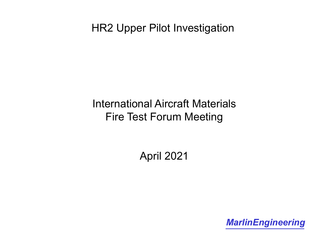# International Aircraft Materials Fire Test Forum Meeting

April 2021

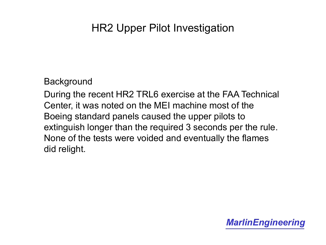#### **Background**

During the recent HR2 TRL6 exercise at the FAA Technical Center, it was noted on the MEI machine most of the Boeing standard panels caused the upper pilots to extinguish longer than the required 3 seconds per the rule. None of the tests were voided and eventually the flames did relight.

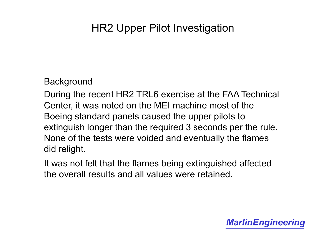#### **Background**

During the recent HR2 TRL6 exercise at the FAA Technical Center, it was noted on the MEI machine most of the Boeing standard panels caused the upper pilots to extinguish longer than the required 3 seconds per the rule. None of the tests were voided and eventually the flames did relight.

It was not felt that the flames being extinguished affected the overall results and all values were retained.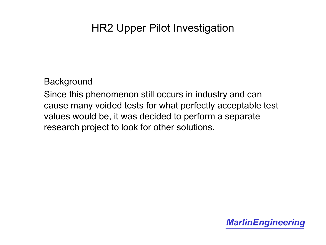**Background** 

Since this phenomenon still occurs in industry and can cause many voided tests for what perfectly acceptable test values would be, it was decided to perform a separate research project to look for other solutions.

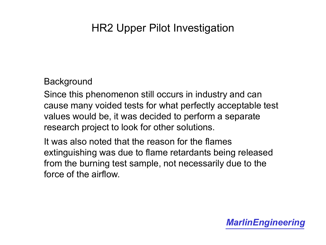#### **Background**

Since this phenomenon still occurs in industry and can cause many voided tests for what perfectly acceptable test values would be, it was decided to perform a separate research project to look for other solutions.

It was also noted that the reason for the flames extinguishing was due to flame retardants being released from the burning test sample, not necessarily due to the force of the airflow.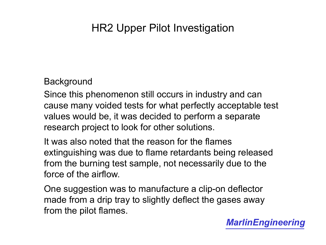#### **Background**

Since this phenomenon still occurs in industry and can cause many voided tests for what perfectly acceptable test values would be, it was decided to perform a separate research project to look for other solutions.

It was also noted that the reason for the flames extinguishing was due to flame retardants being released from the burning test sample, not necessarily due to the force of the airflow.

One suggestion was to manufacture a clip-on deflector made from a drip tray to slightly deflect the gases away from the pilot flames.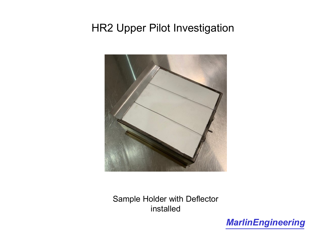

Sample Holder with Deflector installed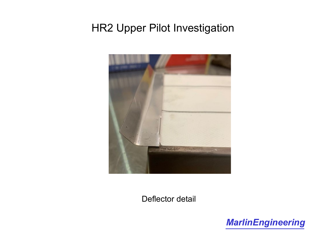

Deflector detail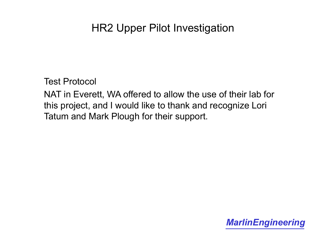Test Protocol

NAT in Everett, WA offered to allow the use of their lab for this project, and I would like to thank and recognize Lori Tatum and Mark Plough for their support.

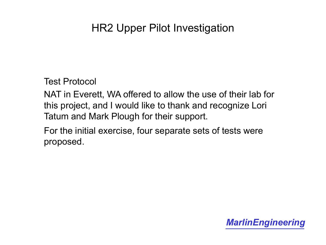Test Protocol

NAT in Everett, WA offered to allow the use of their lab for this project, and I would like to thank and recognize Lori Tatum and Mark Plough for their support.

For the initial exercise, four separate sets of tests were proposed.

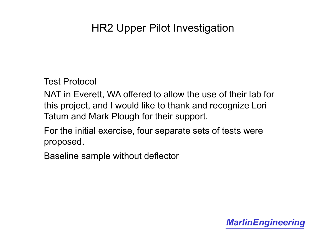Test Protocol

NAT in Everett, WA offered to allow the use of their lab for this project, and I would like to thank and recognize Lori Tatum and Mark Plough for their support.

For the initial exercise, four separate sets of tests were proposed.

Baseline sample without deflector

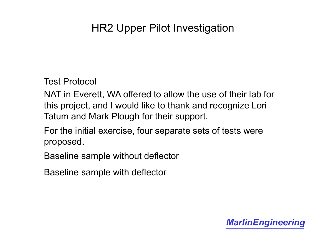Test Protocol

NAT in Everett, WA offered to allow the use of their lab for this project, and I would like to thank and recognize Lori Tatum and Mark Plough for their support.

For the initial exercise, four separate sets of tests were proposed.

Baseline sample without deflector

Baseline sample with deflector

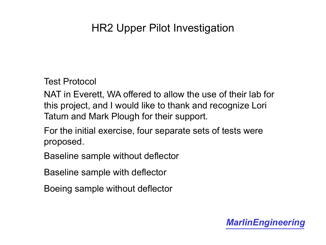Test Protocol

NAT in Everett, WA offered to allow the use of their lab for this project, and I would like to thank and recognize Lori Tatum and Mark Plough for their support.

For the initial exercise, four separate sets of tests were proposed.

Baseline sample without deflector

Baseline sample with deflector

Boeing sample without deflector

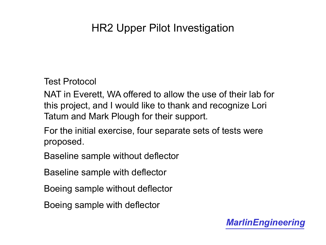Test Protocol

NAT in Everett, WA offered to allow the use of their lab for this project, and I would like to thank and recognize Lori Tatum and Mark Plough for their support.

For the initial exercise, four separate sets of tests were proposed.

Baseline sample without deflector

Baseline sample with deflector

Boeing sample without deflector

Boeing sample with deflector

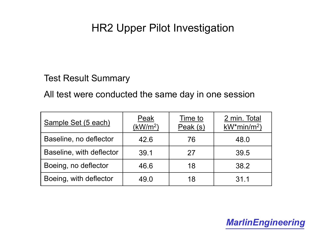Test Result Summary

All test were conducted the same day in one session

| Sample Set (5 each)      | Peak<br>(kW/m <sup>2</sup> ) | Time to<br>Peak (s) | 2 min. Total<br>$kW^*$ min/m <sup>2</sup> ) |
|--------------------------|------------------------------|---------------------|---------------------------------------------|
| Baseline, no deflector   | 42.6                         | 76                  | 48.0                                        |
| Baseline, with deflector | 39.1                         | 27                  | 39.5                                        |
| Boeing, no deflector     | 46.6                         | 18                  | 38.2                                        |
| Boeing, with deflector   | 49.0                         | 18                  | 31.1                                        |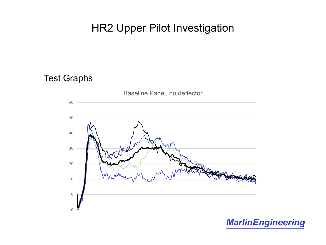#### Test Graphs

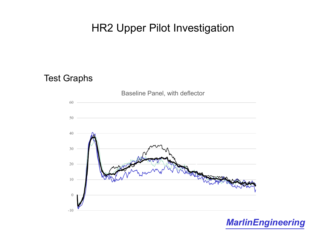#### Test Graphs

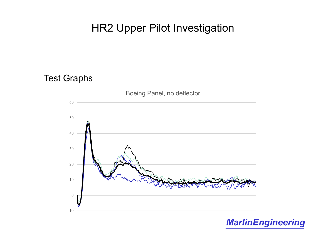#### Test Graphs

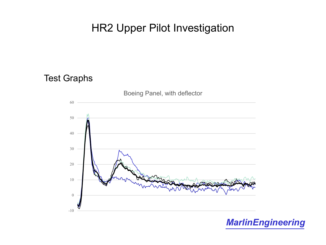#### Test Graphs

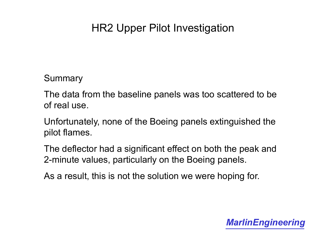Summary

The data from the baseline panels was too scattered to be of real use.

Unfortunately, none of the Boeing panels extinguished the pilot flames.

The deflector had a significant effect on both the peak and 2-minute values, particularly on the Boeing panels.

As a result, this is not the solution we were hoping for.

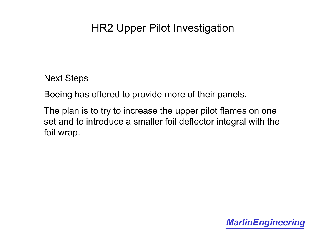Next Steps

Boeing has offered to provide more of their panels.

The plan is to try to increase the upper pilot flames on one set and to introduce a smaller foil deflector integral with the foil wrap.